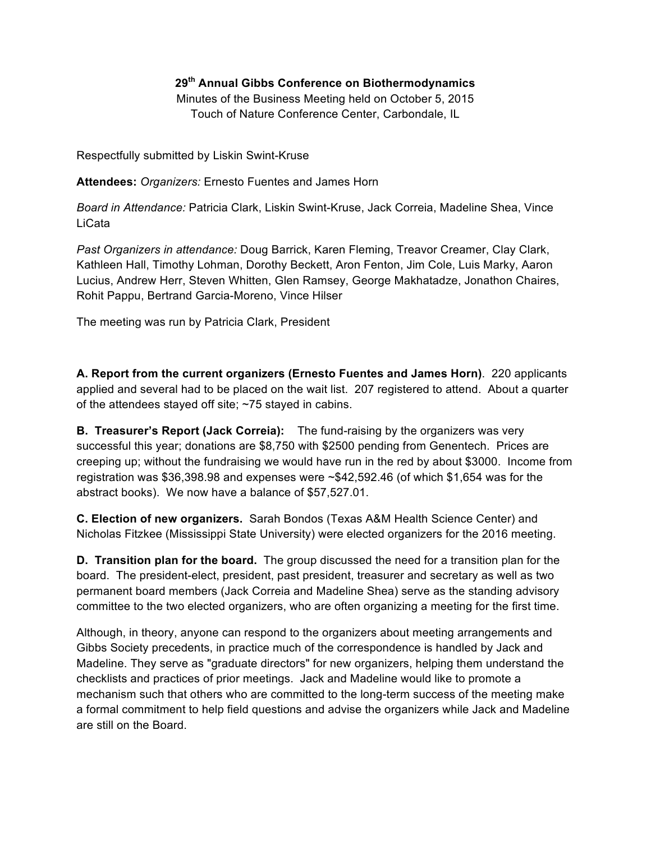## **29th Annual Gibbs Conference on Biothermodynamics**

Minutes of the Business Meeting held on October 5, 2015 Touch of Nature Conference Center, Carbondale, IL

Respectfully submitted by Liskin Swint-Kruse

**Attendees:** *Organizers:* Ernesto Fuentes and James Horn

*Board in Attendance:* Patricia Clark, Liskin Swint-Kruse, Jack Correia, Madeline Shea, Vince LiCata

*Past Organizers in attendance:* Doug Barrick, Karen Fleming, Treavor Creamer, Clay Clark, Kathleen Hall, Timothy Lohman, Dorothy Beckett, Aron Fenton, Jim Cole, Luis Marky, Aaron Lucius, Andrew Herr, Steven Whitten, Glen Ramsey, George Makhatadze, Jonathon Chaires, Rohit Pappu, Bertrand Garcia-Moreno, Vince Hilser

The meeting was run by Patricia Clark, President

**A. Report from the current organizers (Ernesto Fuentes and James Horn)**. 220 applicants applied and several had to be placed on the wait list. 207 registered to attend. About a quarter of the attendees stayed off site; ~75 stayed in cabins.

**B. Treasurer's Report (Jack Correia):** The fund-raising by the organizers was very successful this year; donations are \$8,750 with \$2500 pending from Genentech. Prices are creeping up; without the fundraising we would have run in the red by about \$3000. Income from registration was \$36,398.98 and expenses were ~\$42,592.46 (of which \$1,654 was for the abstract books). We now have a balance of \$57,527.01.

**C. Election of new organizers.** Sarah Bondos (Texas A&M Health Science Center) and Nicholas Fitzkee (Mississippi State University) were elected organizers for the 2016 meeting.

**D. Transition plan for the board.** The group discussed the need for a transition plan for the board. The president-elect, president, past president, treasurer and secretary as well as two permanent board members (Jack Correia and Madeline Shea) serve as the standing advisory committee to the two elected organizers, who are often organizing a meeting for the first time.

Although, in theory, anyone can respond to the organizers about meeting arrangements and Gibbs Society precedents, in practice much of the correspondence is handled by Jack and Madeline. They serve as "graduate directors" for new organizers, helping them understand the checklists and practices of prior meetings. Jack and Madeline would like to promote a mechanism such that others who are committed to the long-term success of the meeting make a formal commitment to help field questions and advise the organizers while Jack and Madeline are still on the Board.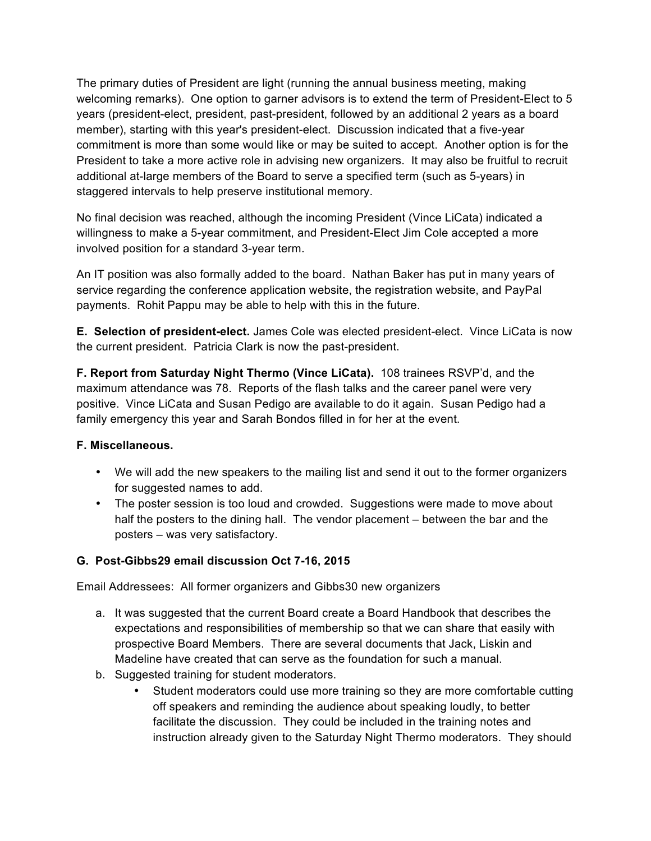The primary duties of President are light (running the annual business meeting, making welcoming remarks). One option to garner advisors is to extend the term of President-Elect to 5 years (president-elect, president, past-president, followed by an additional 2 years as a board member), starting with this year's president-elect. Discussion indicated that a five-year commitment is more than some would like or may be suited to accept. Another option is for the President to take a more active role in advising new organizers. It may also be fruitful to recruit additional at-large members of the Board to serve a specified term (such as 5-years) in staggered intervals to help preserve institutional memory.

No final decision was reached, although the incoming President (Vince LiCata) indicated a willingness to make a 5-year commitment, and President-Elect Jim Cole accepted a more involved position for a standard 3-year term.

An IT position was also formally added to the board. Nathan Baker has put in many years of service regarding the conference application website, the registration website, and PayPal payments. Rohit Pappu may be able to help with this in the future.

**E. Selection of president-elect.** James Cole was elected president-elect. Vince LiCata is now the current president. Patricia Clark is now the past-president.

**F. Report from Saturday Night Thermo (Vince LiCata).** 108 trainees RSVP'd, and the maximum attendance was 78. Reports of the flash talks and the career panel were very positive. Vince LiCata and Susan Pedigo are available to do it again. Susan Pedigo had a family emergency this year and Sarah Bondos filled in for her at the event.

## **F. Miscellaneous.**

- We will add the new speakers to the mailing list and send it out to the former organizers for suggested names to add.
- The poster session is too loud and crowded. Suggestions were made to move about half the posters to the dining hall. The vendor placement – between the bar and the posters – was very satisfactory.

## **G. Post-Gibbs29 email discussion Oct 7-16, 2015**

Email Addressees: All former organizers and Gibbs30 new organizers

- a. It was suggested that the current Board create a Board Handbook that describes the expectations and responsibilities of membership so that we can share that easily with prospective Board Members. There are several documents that Jack, Liskin and Madeline have created that can serve as the foundation for such a manual.
- b. Suggested training for student moderators.
	- Student moderators could use more training so they are more comfortable cutting off speakers and reminding the audience about speaking loudly, to better facilitate the discussion. They could be included in the training notes and instruction already given to the Saturday Night Thermo moderators. They should